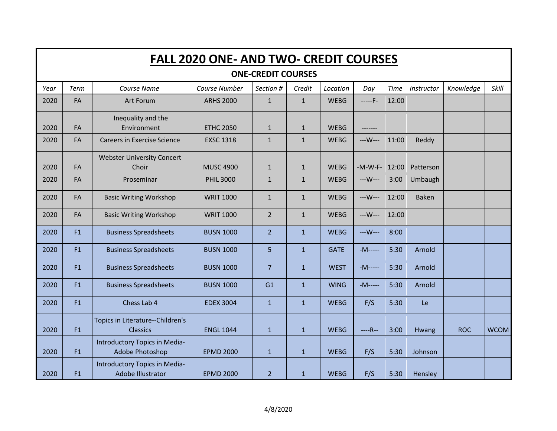|      | <b>FALL 2020 ONE- AND TWO- CREDIT COURSES</b> |                                                           |                  |                |              |             |            |             |              |            |             |  |  |  |  |
|------|-----------------------------------------------|-----------------------------------------------------------|------------------|----------------|--------------|-------------|------------|-------------|--------------|------------|-------------|--|--|--|--|
|      | <b>ONE-CREDIT COURSES</b>                     |                                                           |                  |                |              |             |            |             |              |            |             |  |  |  |  |
| Year | Term                                          | Course Name                                               | Course Number    | Section #      | Credit       | Location    | Day        | <b>Time</b> | Instructor   | Knowledge  | Skill       |  |  |  |  |
| 2020 | FA                                            | Art Forum                                                 | <b>ARHS 2000</b> | $\mathbf{1}$   | $\mathbf{1}$ | <b>WEBG</b> | $---F-$    | 12:00       |              |            |             |  |  |  |  |
| 2020 | FA                                            | Inequality and the<br>Environment                         | <b>ETHC 2050</b> | $\mathbf{1}$   | $\mathbf{1}$ | <b>WEBG</b> |            |             |              |            |             |  |  |  |  |
| 2020 | FA                                            | <b>Careers in Exercise Science</b>                        | <b>EXSC 1318</b> | $\mathbf{1}$   | $\mathbf{1}$ | <b>WEBG</b> | $--W--$    | 11:00       | Reddy        |            |             |  |  |  |  |
| 2020 | <b>FA</b>                                     | <b>Webster University Concert</b><br>Choir                | <b>MUSC 4900</b> | $\mathbf{1}$   | $\mathbf{1}$ | <b>WEBG</b> | $-M-W-F-$  | 12:00       | Patterson    |            |             |  |  |  |  |
| 2020 | FA                                            | Proseminar                                                | <b>PHIL 3000</b> | $\mathbf{1}$   | $\mathbf{1}$ | <b>WEBG</b> | $--W--$    | 3:00        | Umbaugh      |            |             |  |  |  |  |
| 2020 | FA                                            | <b>Basic Writing Workshop</b>                             | <b>WRIT 1000</b> | $\mathbf{1}$   | $\mathbf{1}$ | <b>WEBG</b> | $--W--$    | 12:00       | <b>Baken</b> |            |             |  |  |  |  |
| 2020 | FA                                            | <b>Basic Writing Workshop</b>                             | <b>WRIT 1000</b> | $\overline{2}$ | $\mathbf{1}$ | <b>WEBG</b> | ---W---    | 12:00       |              |            |             |  |  |  |  |
| 2020 | F1                                            | <b>Business Spreadsheets</b>                              | <b>BUSN 1000</b> | 2 <sup>1</sup> | $\mathbf{1}$ | <b>WEBG</b> | $--W--$    | 8:00        |              |            |             |  |  |  |  |
| 2020 | F1                                            | <b>Business Spreadsheets</b>                              | <b>BUSN 1000</b> | 5              | $\mathbf{1}$ | <b>GATE</b> | $-M-----$  | 5:30        | Arnold       |            |             |  |  |  |  |
| 2020 | F1                                            | <b>Business Spreadsheets</b>                              | <b>BUSN 1000</b> | $\overline{7}$ | $\mathbf{1}$ | <b>WEST</b> | $-M$ ----- | 5:30        | Arnold       |            |             |  |  |  |  |
| 2020 | F1                                            | <b>Business Spreadsheets</b>                              | <b>BUSN 1000</b> | G1             | 1            | <b>WING</b> | $-M$ ----- | 5:30        | Arnold       |            |             |  |  |  |  |
| 2020 | F1                                            | Chess Lab 4                                               | <b>EDEX 3004</b> | $\mathbf{1}$   | 1            | <b>WEBG</b> | F/S        | 5:30        | Le           |            |             |  |  |  |  |
| 2020 | F1                                            | Topics in Literature--Children's<br><b>Classics</b>       | <b>ENGL 1044</b> | $\mathbf{1}$   | $\mathbf{1}$ | <b>WEBG</b> | $---R-$    | 3:00        | Hwang        | <b>ROC</b> | <b>WCOM</b> |  |  |  |  |
| 2020 | F1                                            | Introductory Topics in Media-<br>Adobe Photoshop          | <b>EPMD 2000</b> | $\mathbf{1}$   | 1            | <b>WEBG</b> | F/S        | 5:30        | Johnson      |            |             |  |  |  |  |
| 2020 | F1                                            | Introductory Topics in Media-<br><b>Adobe Illustrator</b> | <b>EPMD 2000</b> | $\overline{2}$ | $\mathbf{1}$ | <b>WEBG</b> | F/S        | 5:30        | Hensley      |            |             |  |  |  |  |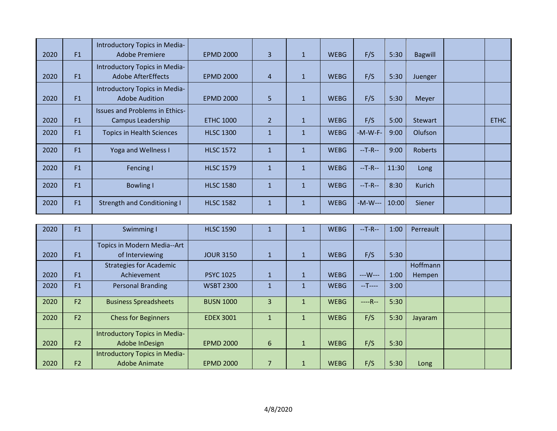|      |    | Introductory Topics in Media-                              |                  |                |              |             |           |       |                |             |
|------|----|------------------------------------------------------------|------------------|----------------|--------------|-------------|-----------|-------|----------------|-------------|
| 2020 | F1 | <b>Adobe Premiere</b>                                      | <b>EPMD 2000</b> | $\mathbf{3}$   | $\mathbf{1}$ | <b>WEBG</b> | F/S       | 5:30  | <b>Bagwill</b> |             |
| 2020 | F1 | Introductory Topics in Media-<br><b>Adobe AfterEffects</b> | <b>EPMD 2000</b> | $\overline{4}$ | $\mathbf{1}$ | <b>WEBG</b> | F/S       | 5:30  | Juenger        |             |
| 2020 | F1 | Introductory Topics in Media-<br><b>Adobe Audition</b>     | <b>EPMD 2000</b> | 5              | $\mathbf{1}$ | <b>WEBG</b> | F/S       | 5:30  | Meyer          |             |
|      |    | <b>Issues and Problems in Ethics-</b>                      |                  |                |              |             |           |       |                |             |
| 2020 | F1 | Campus Leadership                                          | <b>ETHC 1000</b> | $\overline{2}$ | $\mathbf{1}$ | <b>WEBG</b> | F/S       | 5:00  | Stewart        | <b>ETHC</b> |
| 2020 | F1 | <b>Topics in Health Sciences</b>                           | <b>HLSC 1300</b> | $\mathbf{1}$   | $\mathbf{1}$ | <b>WEBG</b> | $-M-W-F-$ | 9:00  | Olufson        |             |
| 2020 | F1 | <b>Yoga and Wellness I</b>                                 | <b>HLSC 1572</b> | $\mathbf{1}$   | $\mathbf{1}$ | <b>WEBG</b> | $-T-R-$   | 9:00  | <b>Roberts</b> |             |
| 2020 | F1 | Fencing I                                                  | <b>HLSC 1579</b> | $\mathbf{1}$   | $\mathbf{1}$ | <b>WEBG</b> | $-T-R-$   | 11:30 | Long           |             |
| 2020 | F1 | <b>Bowling I</b>                                           | <b>HLSC 1580</b> | $\mathbf{1}$   | $\mathbf{1}$ | <b>WEBG</b> | $-T-R-$   | 8:30  | <b>Kurich</b>  |             |
| 2020 | F1 | <b>Strength and Conditioning I</b>                         | <b>HLSC 1582</b> | $\mathbf{1}$   | $\mathbf{1}$ | <b>WEBG</b> | $-M-W---$ | 10:00 | Siener         |             |

| 2020 | F1             | Swimming I                     | <b>HLSC 1590</b> |              |              | <b>WEBG</b> | $-$ T-R $-$ | 1:00 | Perreault |  |
|------|----------------|--------------------------------|------------------|--------------|--------------|-------------|-------------|------|-----------|--|
|      |                | Topics in Modern Media--Art    |                  |              |              |             |             |      |           |  |
| 2020 | F1             | of Interviewing                | <b>JOUR 3150</b> | $\mathbf{1}$ | 1            | <b>WEBG</b> | F/S         | 5:30 |           |  |
|      |                | <b>Strategies for Academic</b> |                  |              |              |             |             |      | Hoffmann  |  |
| 2020 | F1             | Achievement                    | <b>PSYC 1025</b> | $\mathbf{1}$ |              | <b>WEBG</b> | $--W--$     | 1:00 | Hempen    |  |
| 2020 | F1             | <b>Personal Branding</b>       | <b>WSBT 2300</b> |              |              | <b>WEBG</b> | $-T$ ----   | 3:00 |           |  |
|      |                |                                |                  |              |              |             |             |      |           |  |
| 2020 | F2             | <b>Business Spreadsheets</b>   | <b>BUSN 1000</b> | $\mathbf{R}$ |              | <b>WEBG</b> | $---R-$     | 5:30 |           |  |
| 2020 | F2             | <b>Chess for Beginners</b>     | <b>EDEX 3001</b> |              |              | <b>WEBG</b> | F/S         | 5:30 | Jayaram   |  |
|      |                | Introductory Topics in Media-  |                  |              |              |             |             |      |           |  |
| 2020 | F <sub>2</sub> | Adobe InDesign                 | <b>EPMD 2000</b> | 6            | $\mathbf{1}$ | <b>WEBG</b> | F/S         | 5:30 |           |  |
|      |                | Introductory Topics in Media-  |                  |              |              |             |             |      |           |  |
| 2020 | F <sub>2</sub> | <b>Adobe Animate</b>           | <b>EPMD 2000</b> |              |              | <b>WEBG</b> | F/S         | 5:30 | Long      |  |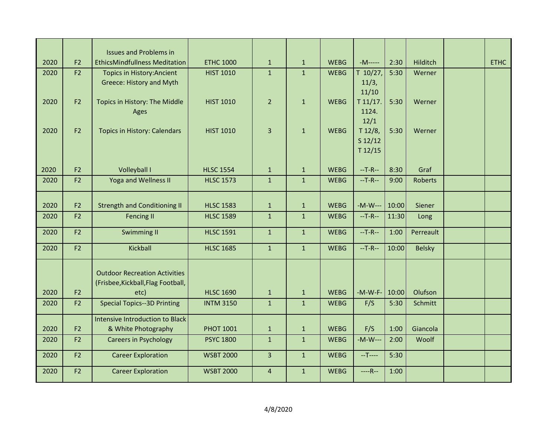| 2020 | F <sub>2</sub> | <b>Issues and Problems in</b><br><b>EthicsMindfullness Meditation</b>      | <b>ETHC 1000</b> | $\mathbf{1}$   | $\mathbf{1}$ | <b>WEBG</b> | $-M$ -----      | 2:30  | Hilditch       | <b>ETHC</b> |
|------|----------------|----------------------------------------------------------------------------|------------------|----------------|--------------|-------------|-----------------|-------|----------------|-------------|
| 2020 | F <sub>2</sub> | <b>Topics in History: Ancient</b>                                          | <b>HIST 1010</b> | $\mathbf{1}$   | $\mathbf{1}$ | <b>WEBG</b> | T 10/27,        | 5:30  | Werner         |             |
|      |                | Greece: History and Myth                                                   |                  |                |              |             | 11/3,           |       |                |             |
|      |                |                                                                            |                  |                |              |             | 11/10           |       |                |             |
| 2020 | F <sub>2</sub> | Topics in History: The Middle                                              | <b>HIST 1010</b> | $\overline{2}$ | $\mathbf{1}$ | <b>WEBG</b> | T 11/17.        | 5:30  | Werner         |             |
|      |                | Ages                                                                       |                  |                |              |             | 1124.           |       |                |             |
| 2020 | F <sub>2</sub> | <b>Topics in History: Calendars</b>                                        | <b>HIST 1010</b> | $\overline{3}$ | $\mathbf{1}$ | <b>WEBG</b> | 12/1<br>T 12/8, | 5:30  | Werner         |             |
|      |                |                                                                            |                  |                |              |             | $S$ 12/12       |       |                |             |
|      |                |                                                                            |                  |                |              |             | T12/15          |       |                |             |
|      |                |                                                                            |                  |                |              |             |                 |       |                |             |
| 2020 | F <sub>2</sub> | Volleyball I                                                               | <b>HLSC 1554</b> | $\mathbf{1}$   | $\mathbf{1}$ | <b>WEBG</b> | $-$ T-R $-$     | 8:30  | Graf           |             |
| 2020 | F <sub>2</sub> | <b>Yoga and Wellness II</b>                                                | <b>HLSC 1573</b> | $\mathbf{1}$   | $\mathbf{1}$ | <b>WEBG</b> | $-$ T-R $-$     | 9:00  | <b>Roberts</b> |             |
|      |                |                                                                            |                  |                |              |             |                 |       |                |             |
| 2020 | F <sub>2</sub> | <b>Strength and Conditioning II</b>                                        | <b>HLSC 1583</b> | $\mathbf{1}$   | $\mathbf{1}$ | <b>WEBG</b> | $-M-W--$        | 10:00 | Siener         |             |
| 2020 | F2             | <b>Fencing II</b>                                                          | <b>HLSC 1589</b> | $\mathbf{1}$   | $\mathbf{1}$ | <b>WEBG</b> | $-$ T-R $-$     | 11:30 | Long           |             |
| 2020 | F <sub>2</sub> | Swimming II                                                                | <b>HLSC 1591</b> | $\mathbf{1}$   | $\mathbf{1}$ | <b>WEBG</b> | $-$ T-R $-$     | 1:00  | Perreault      |             |
| 2020 | F2             | Kickball                                                                   | <b>HLSC 1685</b> | $\mathbf{1}$   | $\mathbf{1}$ | <b>WEBG</b> | $-T-R-$         | 10:00 | <b>Belsky</b>  |             |
|      |                |                                                                            |                  |                |              |             |                 |       |                |             |
|      |                | <b>Outdoor Recreation Activities</b><br>(Frisbee, Kickball, Flag Football, |                  |                |              |             |                 |       |                |             |
| 2020 | F <sub>2</sub> | etc)                                                                       | <b>HLSC 1690</b> | $\mathbf{1}$   | $\mathbf{1}$ | <b>WEBG</b> | $-M-W-F-$       | 10:00 | Olufson        |             |
| 2020 | F <sub>2</sub> | <b>Special Topics--3D Printing</b>                                         | <b>INTM 3150</b> | $\mathbf{1}$   | 1            | <b>WEBG</b> | F/S             | 5:30  | Schmitt        |             |
|      |                | <b>Intensive Introduction to Black</b>                                     |                  |                |              |             |                 |       |                |             |
| 2020 | F <sub>2</sub> | & White Photography                                                        | <b>PHOT 1001</b> | $\mathbf{1}$   | $\mathbf{1}$ | <b>WEBG</b> | F/S             | 1:00  | Giancola       |             |
| 2020 | F <sub>2</sub> | <b>Careers in Psychology</b>                                               | <b>PSYC 1800</b> | $\mathbf{1}$   | 1            | <b>WEBG</b> | $-M-W--$        | 2:00  | Woolf          |             |
|      |                |                                                                            |                  |                |              |             |                 |       |                |             |
| 2020 | F2             | <b>Career Exploration</b>                                                  | <b>WSBT 2000</b> | $\overline{3}$ | $\mathbf{1}$ | <b>WEBG</b> | $-T$ ----       | 5:30  |                |             |
| 2020 | F <sub>2</sub> | <b>Career Exploration</b>                                                  | <b>WSBT 2000</b> | $\overline{4}$ | 1            | <b>WEBG</b> | $---R-$         | 1:00  |                |             |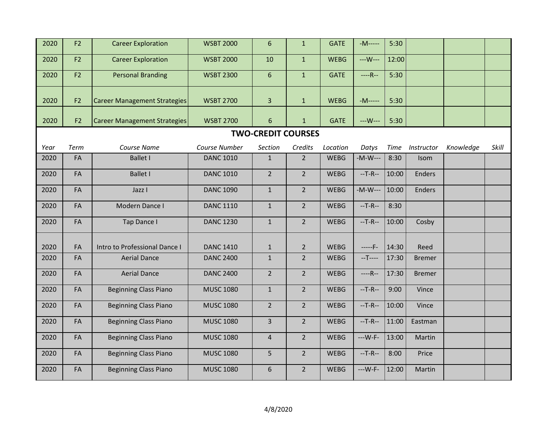| 2020                                                                                                                              | F <sub>2</sub>            | <b>Career Exploration</b>           | <b>WSBT 2000</b> | $6\phantom{1}6$  | 1              | <b>GATE</b> | $-M-----$   | 5:30  |               |  |       |  |  |  |  |
|-----------------------------------------------------------------------------------------------------------------------------------|---------------------------|-------------------------------------|------------------|------------------|----------------|-------------|-------------|-------|---------------|--|-------|--|--|--|--|
| 2020                                                                                                                              | F <sub>2</sub>            | <b>Career Exploration</b>           | <b>WSBT 2000</b> | 10               | $\mathbf{1}$   | <b>WEBG</b> | $--W--$     | 12:00 |               |  |       |  |  |  |  |
| 2020                                                                                                                              | F <sub>2</sub>            | <b>Personal Branding</b>            | <b>WSBT 2300</b> | $6\phantom{1}6$  | $\mathbf{1}$   | <b>GATE</b> | $---R-$     | 5:30  |               |  |       |  |  |  |  |
| 2020                                                                                                                              | F <sub>2</sub>            | <b>Career Management Strategies</b> | <b>WSBT 2700</b> | $\overline{3}$   | $\mathbf{1}$   | <b>WEBG</b> | -M-----     | 5:30  |               |  |       |  |  |  |  |
| 2020                                                                                                                              | F <sub>2</sub>            | <b>Career Management Strategies</b> | <b>WSBT 2700</b> | $6 \overline{6}$ | $\mathbf{1}$   | <b>GATE</b> | ---W---     | 5:30  |               |  |       |  |  |  |  |
|                                                                                                                                   | <b>TWO-CREDIT COURSES</b> |                                     |                  |                  |                |             |             |       |               |  |       |  |  |  |  |
| Course Name<br>Course Number<br>Credits<br>Location<br>Term<br>Section<br>Datys<br><b>Time</b><br>Instructor<br>Knowledge<br>Year |                           |                                     |                  |                  |                |             |             |       |               |  | Skill |  |  |  |  |
| 2020                                                                                                                              | FA                        | <b>Ballet I</b>                     | <b>DANC 1010</b> | $\mathbf{1}$     | 2 <sup>1</sup> | <b>WEBG</b> | $-M-W--$    | 8:30  | Isom          |  |       |  |  |  |  |
| 2020                                                                                                                              | FA                        | <b>Ballet I</b>                     | <b>DANC 1010</b> | $\overline{2}$   | 2 <sup>1</sup> | <b>WEBG</b> | $-T-R-$     | 10:00 | <b>Enders</b> |  |       |  |  |  |  |
| 2020                                                                                                                              | FA                        | Jazz I                              | <b>DANC 1090</b> | $\mathbf{1}$     | $\overline{2}$ | <b>WEBG</b> | $-M-W--$    | 10:00 | <b>Enders</b> |  |       |  |  |  |  |
| 2020                                                                                                                              | FA                        | Modern Dance I                      | <b>DANC 1110</b> | $\mathbf{1}$     | 2 <sup>1</sup> | <b>WEBG</b> | $-T-R-$     | 8:30  |               |  |       |  |  |  |  |
| 2020                                                                                                                              | FA                        | Tap Dance I                         | <b>DANC 1230</b> | $\mathbf{1}$     | $\overline{2}$ | <b>WEBG</b> | $-T-R-$     | 10:00 | Cosby         |  |       |  |  |  |  |
| 2020                                                                                                                              | FA                        | Intro to Professional Dance I       | <b>DANC 1410</b> | $\mathbf{1}$     | $\overline{2}$ | <b>WEBG</b> | $---F-$     | 14:30 | Reed          |  |       |  |  |  |  |
| 2020                                                                                                                              | FA                        | <b>Aerial Dance</b>                 | <b>DANC 2400</b> | $\mathbf{1}$     | $\overline{2}$ | <b>WEBG</b> | $-T$ ----   | 17:30 | <b>Bremer</b> |  |       |  |  |  |  |
| 2020                                                                                                                              | FA                        | <b>Aerial Dance</b>                 | <b>DANC 2400</b> | $\overline{2}$   | 2 <sup>1</sup> | <b>WEBG</b> | $---R-$     | 17:30 | <b>Bremer</b> |  |       |  |  |  |  |
| 2020                                                                                                                              | FA                        | <b>Beginning Class Piano</b>        | <b>MUSC 1080</b> | $\mathbf{1}$     | 2 <sup>1</sup> | <b>WEBG</b> | $-$ T-R $-$ | 9:00  | Vince         |  |       |  |  |  |  |
| 2020                                                                                                                              | FA                        | <b>Beginning Class Piano</b>        | <b>MUSC 1080</b> | $\overline{2}$   | $2^{\circ}$    | <b>WEBG</b> | $-$ T-R $-$ | 10:00 | Vince         |  |       |  |  |  |  |
| 2020                                                                                                                              | FA                        | <b>Beginning Class Piano</b>        | <b>MUSC 1080</b> | 3                | 2 <sup>1</sup> | <b>WEBG</b> | $-T-R-$     | 11:00 | Eastman       |  |       |  |  |  |  |
| 2020                                                                                                                              | FA                        | <b>Beginning Class Piano</b>        | <b>MUSC 1080</b> | $\overline{4}$   | $\overline{2}$ | <b>WEBG</b> | $--W-F-$    | 13:00 | Martin        |  |       |  |  |  |  |
| 2020                                                                                                                              | FA                        | <b>Beginning Class Piano</b>        | <b>MUSC 1080</b> | 5                | 2 <sup>1</sup> | <b>WEBG</b> | $-T-R-$     | 8:00  | Price         |  |       |  |  |  |  |
| 2020                                                                                                                              | FA                        | <b>Beginning Class Piano</b>        | <b>MUSC 1080</b> | 6                | $\overline{2}$ | <b>WEBG</b> | $--W-F-$    | 12:00 | Martin        |  |       |  |  |  |  |